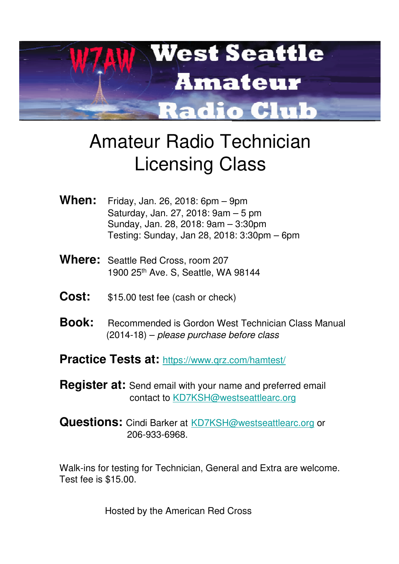

## Amateur Radio Technician Licensing Class

- **When:** Friday, Jan. 26, 2018: 6pm 9pm Saturday, Jan. 27, 2018: 9am – 5 pm Sunday, Jan. 28, 2018: 9am – 3:30pm Testing: Sunday, Jan 28, 2018: 3:30pm – 6pm
- **Where:** Seattle Red Cross, room 207 1900 25th Ave. S, Seattle, WA 98144
- **Cost:** \$15.00 test fee (cash or check)
- **Book:** Recommended is Gordon West Technician Class Manual (2014-18) – please purchase before class
- Practice Tests at: https://www.qrz.com/hamtest/
- **Register at:** Send email with your name and preferred email contact to KD7KSH@westseattlearc.org
- **Questions:** Cindi Barker at **KD7KSH@westseattlearc.org** or 206-933-6968.

Walk-ins for testing for Technician, General and Extra are welcome. Test fee is \$15.00.

Hosted by the American Red Cross